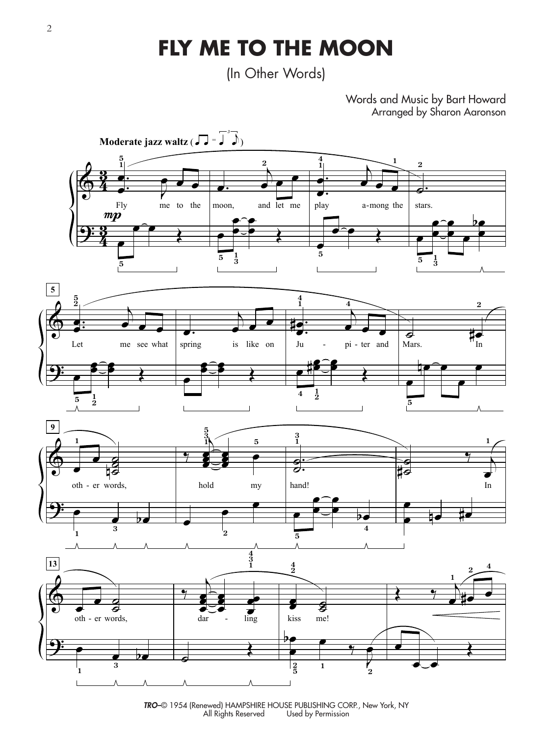# **FLY ME TO THE MOON**

(In Other Words)

Words and Music by Bart Howard Arranged by Sharon Aaronson



*TRO–*© 1954 (Renewed) HAMPSHIRE HOUSE PUBLISHING CORP., New York, NY All Rights Reserved Used by Permission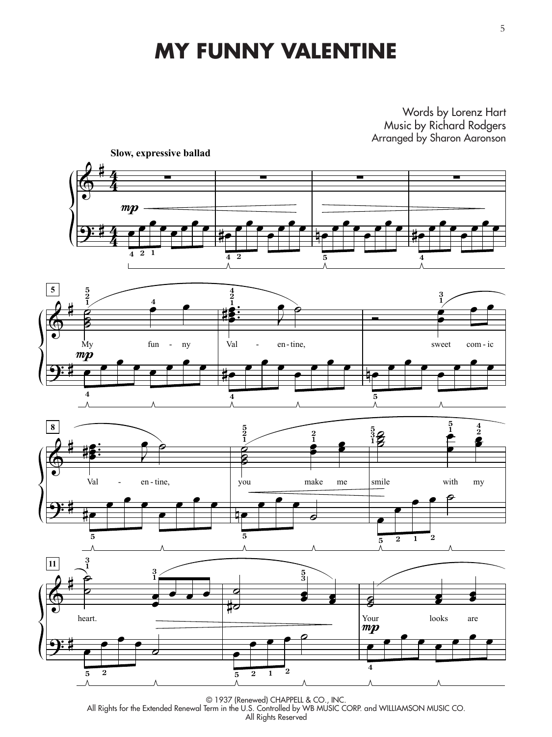# **MY FUNNY VALENTINE**

#### Words by Lorenz Hart Music by Richard Rodgers Arranged by Sharon Aaronson



© 1937 (Renewed) CHAPPELL & CO., INC. All Rights for the Extended Renewal Term in the U.S. Controlled by WB MUSIC CORP. and WILLIAMSON MUSIC CO. All Rights Reserved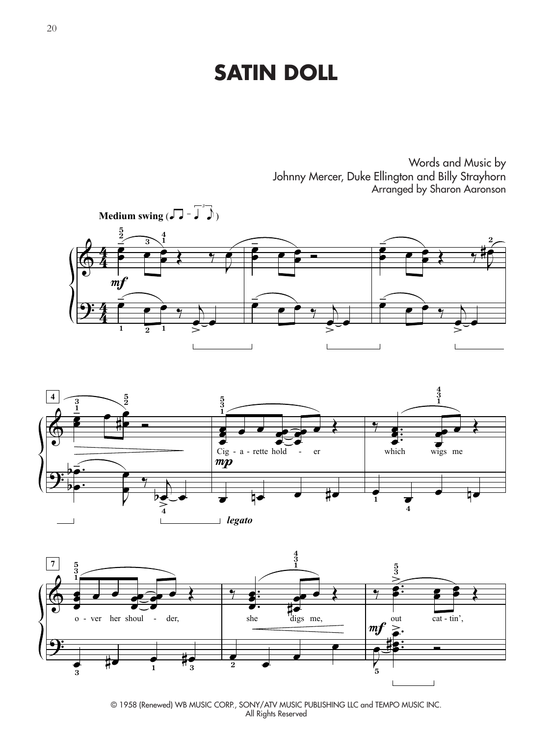## **SATIN DOLL**

Words and Music by Johnny Mercer, Duke Ellington and Billy Strayhorn Arranged by Sharon Aaronson







© 1958 (Renewed) WB MUSIC CORP., SONY/ATV MUSIC PUBLISHING LLC and TEMPO MUSIC INC. All Rights Reserved